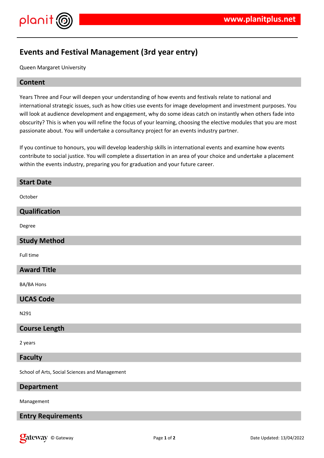

# **Events and Festival Management (3rd year entry)**

Queen Margaret University

#### **Content**

Years Three and Four will deepen your understanding of how events and festivals relate to national and international strategic issues, such as how cities use events for image development and investment purposes. You will look at audience development and engagement, why do some ideas catch on instantly when others fade into obscurity? This is when you will refine the focus of your learning, choosing the elective modules that you are most passionate about. You will undertake a consultancy project for an events industry partner.

If you continue to honours, you will develop leadership skills in international events and examine how events contribute to social justice. You will complete a dissertation in an area of your choice and undertake a placement within the events industry, preparing you for graduation and your future career.

| <b>Start Date</b>                              |
|------------------------------------------------|
| October                                        |
| Qualification                                  |
| Degree                                         |
| <b>Study Method</b>                            |
| Full time                                      |
| <b>Award Title</b>                             |
| BA/BA Hons                                     |
| <b>UCAS Code</b>                               |
| N291                                           |
| <b>Course Length</b>                           |
| 2 years                                        |
| <b>Faculty</b>                                 |
| School of Arts, Social Sciences and Management |

**Department**

Management

**Entry Requirements**